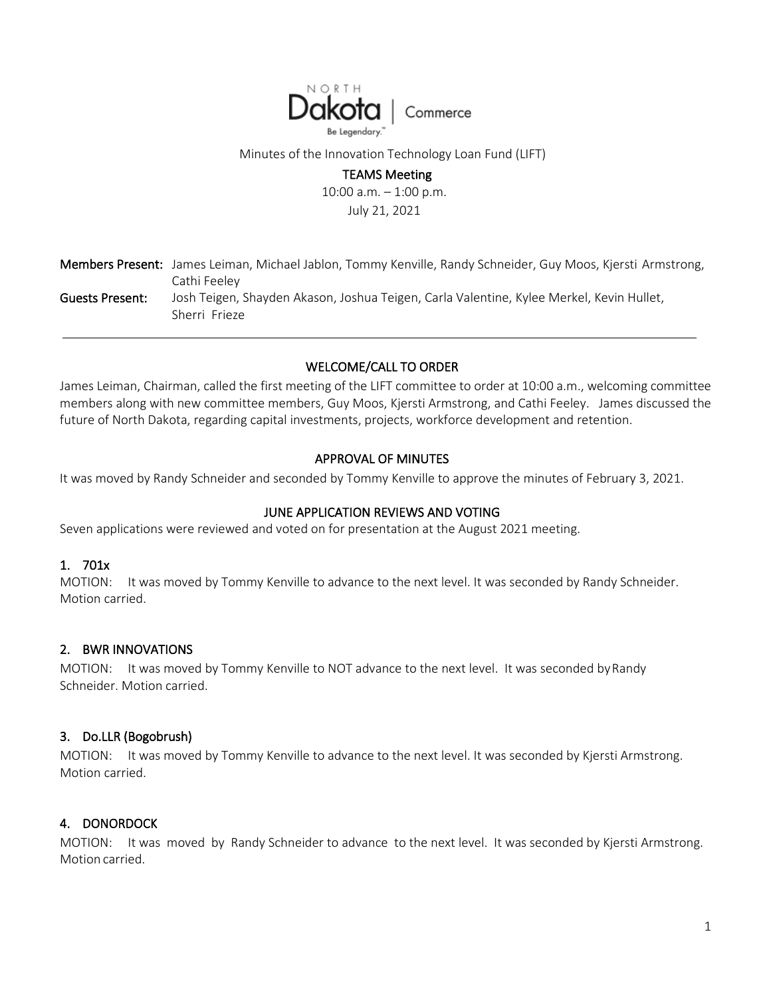

Minutes of the Innovation Technology Loan Fund (LIFT)

#### TEAMS Meeting

10:00 a.m. – 1:00 p.m. July 21, 2021

|                 | Members Present: James Leiman, Michael Jablon, Tommy Kenville, Randy Schneider, Guy Moos, Kjersti Armstrong,<br>Cathi Feeley |
|-----------------|------------------------------------------------------------------------------------------------------------------------------|
| Guests Present: | Josh Teigen, Shayden Akason, Joshua Teigen, Carla Valentine, Kylee Merkel, Kevin Hullet,<br>Sherri Frieze                    |

## WELCOME/CALL TO ORDER

James Leiman, Chairman, called the first meeting of the LIFT committee to order at 10:00 a.m., welcoming committee members along with new committee members, Guy Moos, Kjersti Armstrong, and Cathi Feeley. James discussed the future of North Dakota, regarding capital investments, projects, workforce development and retention.

## APPROVAL OF MINUTES

It was moved by Randy Schneider and seconded by Tommy Kenville to approve the minutes of February 3, 2021.

# JUNE APPLICATION REVIEWS AND VOTING

Seven applications were reviewed and voted on for presentation at the August 2021 meeting.

## 1. 701x

MOTION: It was moved by Tommy Kenville to advance to the next level. It was seconded by Randy Schneider. Motion carried.

#### 2. BWR INNOVATIONS

MOTION: It was moved by Tommy Kenville to NOT advance to the next level. It was seconded by Randy Schneider. Motion carried.

#### 3. Do.LLR (Bogobrush)

MOTION: It was moved by Tommy Kenville to advance to the next level. It was seconded by Kjersti Armstrong. Motion carried.

#### 4. DONORDOCK

MOTION: It was moved by Randy Schneider to advance to the next level. It was seconded by Kjersti Armstrong. Motion carried.